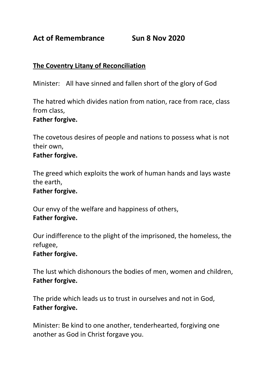**Act of Remembrance Sun 8 Nov 2020**

# **The Coventry Litany of Reconciliation**

Minister: All have sinned and fallen short of the glory of God

The hatred which divides nation from nation, race from race, class from class,

### **Father forgive.**

The covetous desires of people and nations to possess what is not their own,

#### **Father forgive.**

The greed which exploits the work of human hands and lays waste the earth,

#### **Father forgive.**

Our envy of the welfare and happiness of others, **Father forgive.**

Our indifference to the plight of the imprisoned, the homeless, the refugee,

#### **Father forgive.**

The lust which dishonours the bodies of men, women and children, **Father forgive.**

The pride which leads us to trust in ourselves and not in God, **Father forgive.**

Minister: Be kind to one another, tenderhearted, forgiving one another as God in Christ forgave you.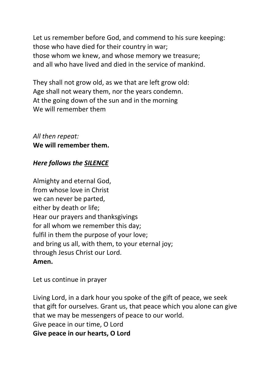Let us remember before God, and commend to his sure keeping: those who have died for their country in war; those whom we knew, and whose memory we treasure; and all who have lived and died in the service of mankind.

They shall not grow old, as we that are left grow old: Age shall not weary them, nor the years condemn. At the going down of the sun and in the morning We will remember them

*All then repeat:* **We will remember them.**

# *Here follows the SILENCE*

Almighty and eternal God, from whose love in Christ we can never be parted, either by death or life; Hear our prayers and thanksgivings for all whom we remember this day; fulfil in them the purpose of your love; and bring us all, with them, to your eternal joy; through Jesus Christ our Lord. **Amen.**

Let us continue in prayer

Living Lord, in a dark hour you spoke of the gift of peace, we seek that gift for ourselves. Grant us, that peace which you alone can give that we may be messengers of peace to our world. Give peace in our time, O Lord **Give peace in our hearts, O Lord**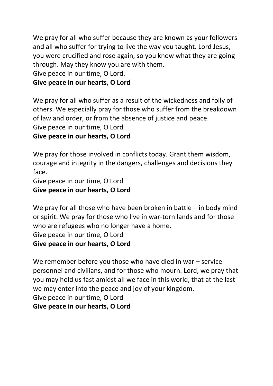We pray for all who suffer because they are known as your followers and all who suffer for trying to live the way you taught. Lord Jesus, you were crucified and rose again, so you know what they are going through. May they know you are with them.

Give peace in our time, O Lord.

## **Give peace in our hearts, O Lord**

We pray for all who suffer as a result of the wickedness and folly of others. We especially pray for those who suffer from the breakdown of law and order, or from the absence of justice and peace. Give peace in our time, O Lord **Give peace in our hearts, O Lord**

We pray for those involved in conflicts today. Grant them wisdom, courage and integrity in the dangers, challenges and decisions they face.

Give peace in our time, O Lord **Give peace in our hearts, O Lord** 

We pray for all those who have been broken in battle – in body mind or spirit. We pray for those who live in war-torn lands and for those who are refugees who no longer have a home. Give peace in our time, O Lord **Give peace in our hearts, O Lord** 

We remember before you those who have died in war – service personnel and civilians, and for those who mourn. Lord, we pray that you may hold us fast amidst all we face in this world, that at the last we may enter into the peace and joy of your kingdom. Give peace in our time, O Lord **Give peace in our hearts, O Lord**